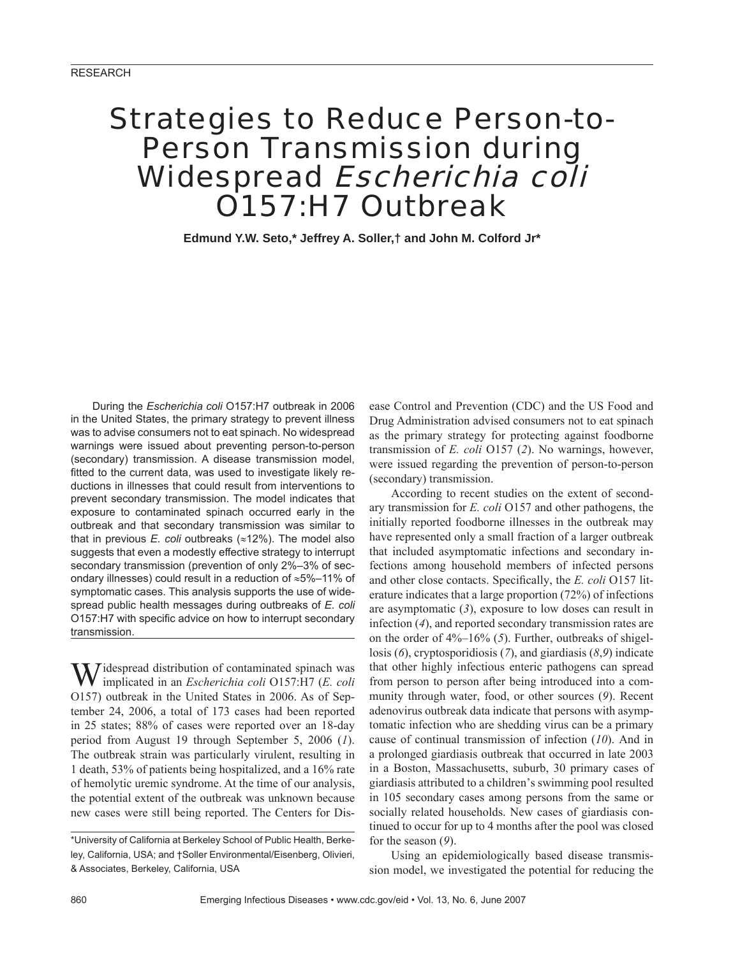# Strategies to Reduce Person-to-Person Transmission during Widespread Escherichia coli O157:H7 Outbreak

**Edmund Y.W. Seto,\* Jeffrey A. Soller,† and John M. Colford Jr\***

During the *Escherichia coli* O157:H7 outbreak in 2006 in the United States, the primary strategy to prevent illness was to advise consumers not to eat spinach. No widespread warnings were issued about preventing person-to-person (secondary) transmission. A disease transmission model, fitted to the current data, was used to investigate likely reductions in illnesses that could result from interventions to prevent secondary transmission. The model indicates that exposure to contaminated spinach occurred early in the outbreak and that secondary transmission was similar to that in previous *E. coli* outbreaks (≈12%). The model also suggests that even a modestly effective strategy to interrupt secondary transmission (prevention of only 2%–3% of secondary illnesses) could result in a reduction of ≈5%–11% of symptomatic cases. This analysis supports the use of widespread public health messages during outbreaks of *E. coli* O157:H7 with specific advice on how to interrupt secondary transmission.

 $\mathbf{W}$  idespread distribution of contaminated spinach was implicated in an *Escherichia coli* O157:H7 (*E. coli* O157) outbreak in the United States in 2006. As of September 24, 2006, a total of 173 cases had been reported in 25 states; 88% of cases were reported over an 18-day period from August 19 through September 5, 2006 (*1*). The outbreak strain was particularly virulent, resulting in 1 death, 53% of patients being hospitalized, and a 16% rate of hemolytic uremic syndrome. At the time of our analysis, the potential extent of the outbreak was unknown because new cases were still being reported. The Centers for Disease Control and Prevention (CDC) and the US Food and Drug Administration advised consumers not to eat spinach as the primary strategy for protecting against foodborne transmission of *E. coli* O157 (*2*). No warnings, however, were issued regarding the prevention of person-to-person (secondary) transmission.

According to recent studies on the extent of secondary transmission for *E. coli* O157 and other pathogens, the initially reported foodborne illnesses in the outbreak may have represented only a small fraction of a larger outbreak that included asymptomatic infections and secondary infections among household members of infected persons and other close contacts. Specifically, the *E. coli* O157 literature indicates that a large proportion (72%) of infections are asymptomatic (*3*), exposure to low doses can result in infection (*4*), and reported secondary transmission rates are on the order of 4%–16% (*5*). Further, outbreaks of shigellosis (*6*), cryptosporidiosis (*7*), and giardiasis (*8*,*9*) indicate that other highly infectious enteric pathogens can spread from person to person after being introduced into a community through water, food, or other sources (*9*). Recent adenovirus outbreak data indicate that persons with asymptomatic infection who are shedding virus can be a primary cause of continual transmission of infection (*10*). And in a prolonged giardiasis outbreak that occurred in late 2003 in a Boston, Massachusetts, suburb, 30 primary cases of giardiasis attributed to a children's swimming pool resulted in 105 secondary cases among persons from the same or socially related households. New cases of giardiasis continued to occur for up to 4 months after the pool was closed for the season (*9*).

Using an epidemiologically based disease transmission model, we investigated the potential for reducing the

<sup>\*</sup>University of California at Berkeley School of Public Health, Berkeley, California, USA; and †Soller Environmental/Eisenberg, Olivieri, & Associates, Berkeley, California, USA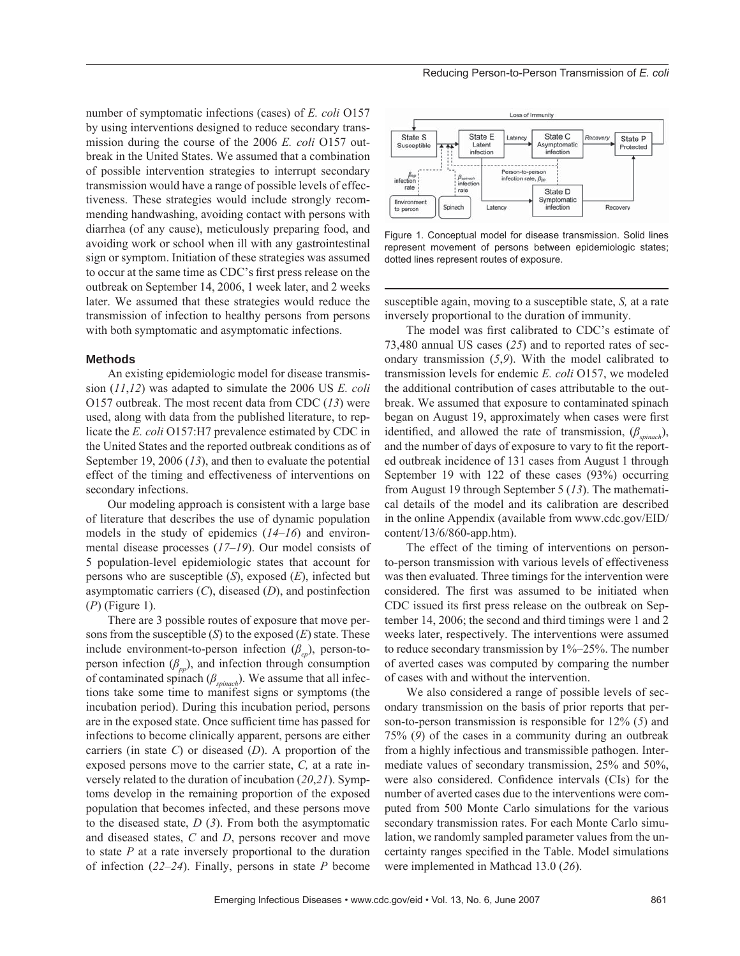number of symptomatic infections (cases) of *E. coli* O157 by using interventions designed to reduce secondary transmission during the course of the 2006 *E. coli* O157 outbreak in the United States. We assumed that a combination of possible intervention strategies to interrupt secondary transmission would have a range of possible levels of effectiveness. These strategies would include strongly recommending handwashing, avoiding contact with persons with diarrhea (of any cause), meticulously preparing food, and avoiding work or school when ill with any gastrointestinal sign or symptom. Initiation of these strategies was assumed to occur at the same time as CDC's first press release on the outbreak on September 14, 2006, 1 week later, and 2 weeks later. We assumed that these strategies would reduce the transmission of infection to healthy persons from persons with both symptomatic and asymptomatic infections.

### **Methods**

An existing epidemiologic model for disease transmission (*11*,*12*) was adapted to simulate the 2006 US *E. coli* O157 outbreak. The most recent data from CDC (*13*) were used, along with data from the published literature, to replicate the *E. coli* O157:H7 prevalence estimated by CDC in the United States and the reported outbreak conditions as of September 19, 2006 (*13*), and then to evaluate the potential effect of the timing and effectiveness of interventions on secondary infections.

Our modeling approach is consistent with a large base of literature that describes the use of dynamic population models in the study of epidemics (*14*–*16*) and environmental disease processes (*17*–*19*). Our model consists of 5 population-level epidemiologic states that account for persons who are susceptible (*S*), exposed (*E*), infected but asymptomatic carriers (*C*), diseased (*D*), and postinfection (*P*) (Figure 1).

There are 3 possible routes of exposure that move persons from the susceptible (*S*) to the exposed (*E*) state. These include environment-to-person infection (*βep*), person-toperson infection  $(\beta_{pp})$ , and infection through consumption of contaminated spinach (*βspinach*). We assume that all infections take some time to manifest signs or symptoms (the incubation period). During this incubation period, persons are in the exposed state. Once sufficient time has passed for infections to become clinically apparent, persons are either carriers (in state *C*) or diseased (*D*). A proportion of the exposed persons move to the carrier state, *C,* at a rate inversely related to the duration of incubation (*20*,*21*). Symptoms develop in the remaining proportion of the exposed population that becomes infected, and these persons move to the diseased state, *D* (*3*). From both the asymptomatic and diseased states, *C* and *D*, persons recover and move to state *P* at a rate inversely proportional to the duration of infection (*22*–*24*). Finally, persons in state *P* become



Figure 1. Conceptual model for disease transmission. Solid lines represent movement of persons between epidemiologic states; dotted lines represent routes of exposure.

susceptible again, moving to a susceptible state, *S,* at a rate inversely proportional to the duration of immunity.

The model was first calibrated to CDC's estimate of 73,480 annual US cases (*25*) and to reported rates of secondary transmission (*5*,*9*). With the model calibrated to transmission levels for endemic *E. coli* O157, we modeled the additional contribution of cases attributable to the outbreak. We assumed that exposure to contaminated spinach began on August 19, approximately when cases were first identified, and allowed the rate of transmission,  $(\beta_{\text{spinach}})$ , and the number of days of exposure to vary to fit the reported outbreak incidence of 131 cases from August 1 through September 19 with 122 of these cases (93%) occurring from August 19 through September 5 (*13*). The mathematical details of the model and its calibration are described in the online Appendix (available from www.cdc.gov/EID/ content/13/6/860-app.htm).

The effect of the timing of interventions on personto-person transmission with various levels of effectiveness was then evaluated. Three timings for the intervention were considered. The first was assumed to be initiated when CDC issued its first press release on the outbreak on September 14, 2006; the second and third timings were 1 and 2 weeks later, respectively. The interventions were assumed to reduce secondary transmission by 1%–25%. The number of averted cases was computed by comparing the number of cases with and without the intervention.

We also considered a range of possible levels of secondary transmission on the basis of prior reports that person-to-person transmission is responsible for 12% (*5*) and 75% (*9*) of the cases in a community during an outbreak from a highly infectious and transmissible pathogen. Intermediate values of secondary transmission, 25% and 50%, were also considered. Confidence intervals (CIs) for the number of averted cases due to the interventions were computed from 500 Monte Carlo simulations for the various secondary transmission rates. For each Monte Carlo simulation, we randomly sampled parameter values from the uncertainty ranges specified in the Table. Model simulations were implemented in Mathcad 13.0 (*26*).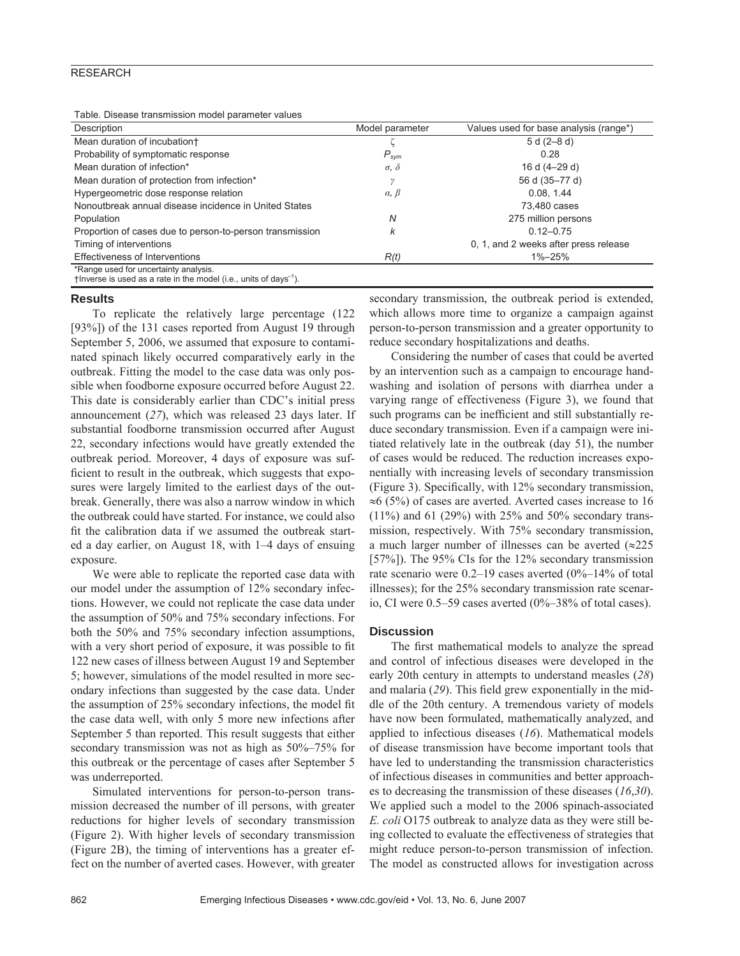# **RESEARCH**

Table. Disease transmission model parameter values

| Description                                                                       | Model parameter     | Values used for base analysis (range*) |
|-----------------------------------------------------------------------------------|---------------------|----------------------------------------|
| Mean duration of incubation+                                                      |                     | $5 d (2 - 8 d)$                        |
| Probability of symptomatic response                                               | $P_{sym}$           | 0.28                                   |
| Mean duration of infection*                                                       | $\sigma$ , $\delta$ | 16 d (4-29 d)                          |
| Mean duration of protection from infection*                                       |                     | 56 d (35-77 d)                         |
| Hypergeometric dose response relation                                             | $\alpha, \beta$     | 0.08, 1.44                             |
| Nonoutbreak annual disease incidence in United States                             |                     | 73.480 cases                           |
| Population                                                                        | N                   | 275 million persons                    |
| Proportion of cases due to person-to-person transmission                          | k                   | $0.12 - 0.75$                          |
| Timing of interventions                                                           |                     | 0, 1, and 2 weeks after press release  |
| Effectiveness of Interventions                                                    | R(t)                | $1\% - 25\%$                           |
| *Range used for uncertainty analysis.                                             |                     |                                        |
| This the set is used as a rate in the model (i.e., units of days <sup>-1</sup> ). |                     |                                        |

#### **Results**

To replicate the relatively large percentage (122 [93%]) of the 131 cases reported from August 19 through September 5, 2006, we assumed that exposure to contaminated spinach likely occurred comparatively early in the outbreak. Fitting the model to the case data was only possible when foodborne exposure occurred before August 22. This date is considerably earlier than CDC's initial press announcement (*27*), which was released 23 days later. If substantial foodborne transmission occurred after August 22, secondary infections would have greatly extended the outbreak period. Moreover, 4 days of exposure was sufficient to result in the outbreak, which suggests that exposures were largely limited to the earliest days of the outbreak. Generally, there was also a narrow window in which the outbreak could have started. For instance, we could also fit the calibration data if we assumed the outbreak started a day earlier, on August 18, with 1–4 days of ensuing exposure.

We were able to replicate the reported case data with our model under the assumption of 12% secondary infections. However, we could not replicate the case data under the assumption of 50% and 75% secondary infections. For both the 50% and 75% secondary infection assumptions, with a very short period of exposure, it was possible to fit 122 new cases of illness between August 19 and September 5; however, simulations of the model resulted in more secondary infections than suggested by the case data. Under the assumption of  $25%$  secondary infections, the model fit the case data well, with only 5 more new infections after September 5 than reported. This result suggests that either secondary transmission was not as high as 50%–75% for this outbreak or the percentage of cases after September 5 was underreported.

Simulated interventions for person-to-person transmission decreased the number of ill persons, with greater reductions for higher levels of secondary transmission (Figure 2). With higher levels of secondary transmission (Figure 2B), the timing of interventions has a greater effect on the number of averted cases. However, with greater

secondary transmission, the outbreak period is extended, which allows more time to organize a campaign against person-to-person transmission and a greater opportunity to reduce secondary hospitalizations and deaths.

Considering the number of cases that could be averted by an intervention such as a campaign to encourage handwashing and isolation of persons with diarrhea under a varying range of effectiveness (Figure 3), we found that such programs can be inefficient and still substantially reduce secondary transmission. Even if a campaign were initiated relatively late in the outbreak (day 51), the number of cases would be reduced. The reduction increases exponentially with increasing levels of secondary transmission (Figure 3). Specifically, with  $12\%$  secondary transmission, ≈6 (5%) of cases are averted. Averted cases increase to 16 (11%) and 61 (29%) with 25% and 50% secondary transmission, respectively. With 75% secondary transmission, a much larger number of illnesses can be averted  $\approx 225$ [57%]). The 95% CIs for the 12% secondary transmission rate scenario were 0.2–19 cases averted (0%–14% of total illnesses); for the 25% secondary transmission rate scenario, CI were 0.5–59 cases averted (0%–38% of total cases).

## **Discussion**

The first mathematical models to analyze the spread and control of infectious diseases were developed in the early 20th century in attempts to understand measles (*28*) and malaria (29). This field grew exponentially in the middle of the 20th century. A tremendous variety of models have now been formulated, mathematically analyzed, and applied to infectious diseases (*16*). Mathematical models of disease transmission have become important tools that have led to understanding the transmission characteristics of infectious diseases in communities and better approaches to decreasing the transmission of these diseases (*16*,*30*). We applied such a model to the 2006 spinach-associated *E. coli* O175 outbreak to analyze data as they were still being collected to evaluate the effectiveness of strategies that might reduce person-to-person transmission of infection. The model as constructed allows for investigation across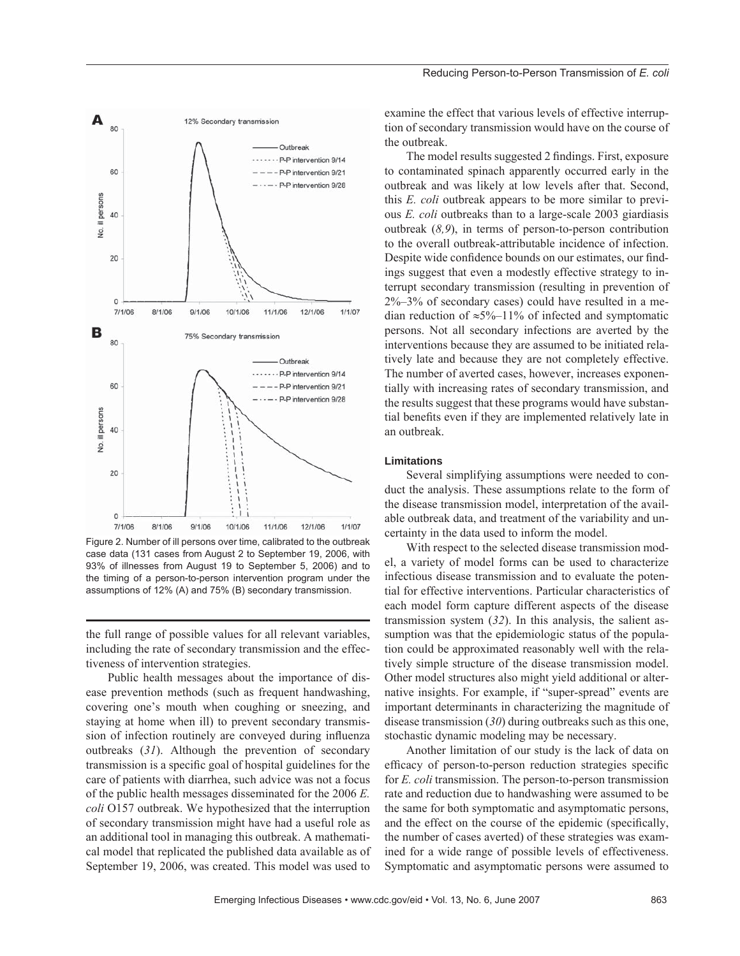

Figure 2. Number of ill persons over time, calibrated to the outbreak case data (131 cases from August 2 to September 19, 2006, with 93% of illnesses from August 19 to September 5, 2006) and to the timing of a person-to-person intervention program under the assumptions of 12% (A) and 75% (B) secondary transmission.

the full range of possible values for all relevant variables, including the rate of secondary transmission and the effectiveness of intervention strategies.

Public health messages about the importance of disease prevention methods (such as frequent handwashing, covering one's mouth when coughing or sneezing, and staying at home when ill) to prevent secondary transmission of infection routinely are conveyed during influenza outbreaks (*31*). Although the prevention of secondary transmission is a specific goal of hospital guidelines for the care of patients with diarrhea, such advice was not a focus of the public health messages disseminated for the 2006 *E. coli* O157 outbreak. We hypothesized that the interruption of secondary transmission might have had a useful role as an additional tool in managing this outbreak. A mathematical model that replicated the published data available as of September 19, 2006, was created. This model was used to

examine the effect that various levels of effective interruption of secondary transmission would have on the course of the outbreak.

The model results suggested 2 findings. First, exposure to contaminated spinach apparently occurred early in the outbreak and was likely at low levels after that. Second, this *E. coli* outbreak appears to be more similar to previous *E. coli* outbreaks than to a large-scale 2003 giardiasis outbreak (*8,9*), in terms of person-to-person contribution to the overall outbreak-attributable incidence of infection. Despite wide confidence bounds on our estimates, our findings suggest that even a modestly effective strategy to interrupt secondary transmission (resulting in prevention of 2%–3% of secondary cases) could have resulted in a median reduction of  $\approx 5\% - 11\%$  of infected and symptomatic persons. Not all secondary infections are averted by the interventions because they are assumed to be initiated relatively late and because they are not completely effective. The number of averted cases, however, increases exponentially with increasing rates of secondary transmission, and the results suggest that these programs would have substantial benefits even if they are implemented relatively late in an outbreak.

## **Limitations**

Several simplifying assumptions were needed to conduct the analysis. These assumptions relate to the form of the disease transmission model, interpretation of the available outbreak data, and treatment of the variability and uncertainty in the data used to inform the model.

With respect to the selected disease transmission model, a variety of model forms can be used to characterize infectious disease transmission and to evaluate the potential for effective interventions. Particular characteristics of each model form capture different aspects of the disease transmission system (*32*). In this analysis, the salient assumption was that the epidemiologic status of the population could be approximated reasonably well with the relatively simple structure of the disease transmission model. Other model structures also might yield additional or alternative insights. For example, if "super-spread" events are important determinants in characterizing the magnitude of disease transmission (*30*) during outbreaks such as this one, stochastic dynamic modeling may be necessary.

Another limitation of our study is the lack of data on efficacy of person-to-person reduction strategies specific for *E. coli* transmission. The person-to-person transmission rate and reduction due to handwashing were assumed to be the same for both symptomatic and asymptomatic persons, and the effect on the course of the epidemic (specifically, the number of cases averted) of these strategies was examined for a wide range of possible levels of effectiveness. Symptomatic and asymptomatic persons were assumed to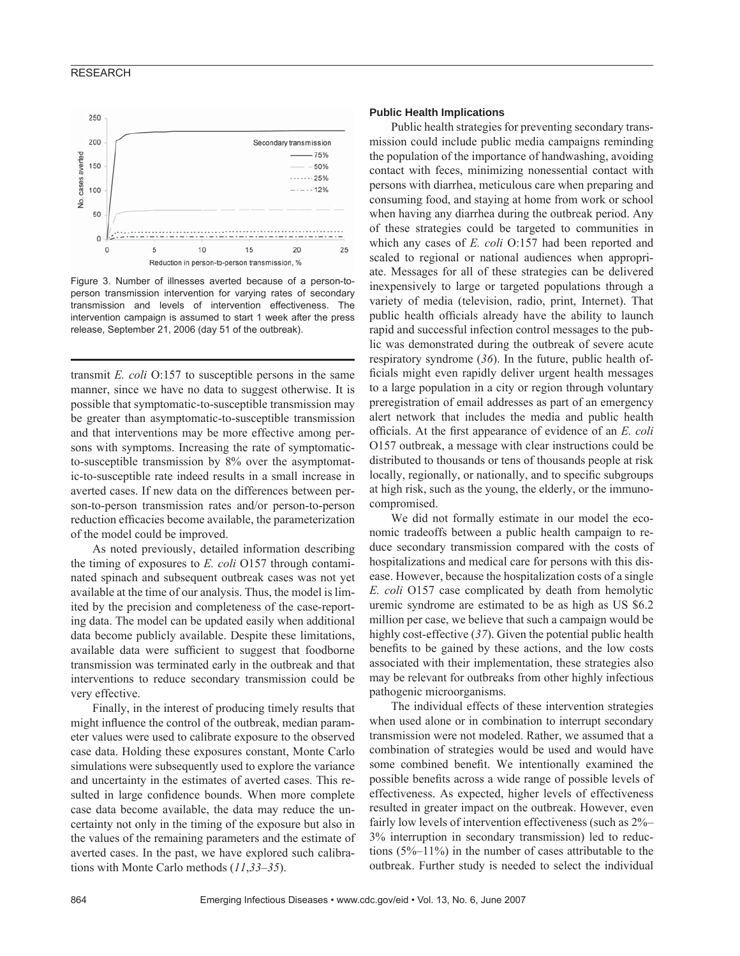# **RESEARCH**



Figure 3. Number of illnesses averted because of a person-toperson transmission intervention for varying rates of secondary transmission and levels of intervention effectiveness. The intervention campaign is assumed to start 1 week after the press release, September 21, 2006 (day 51 of the outbreak).

transmit *E. coli* O:157 to susceptible persons in the same manner, since we have no data to suggest otherwise. It is possible that symptomatic-to-susceptible transmission may be greater than asymptomatic-to-susceptible transmission and that interventions may be more effective among persons with symptoms. Increasing the rate of symptomaticto-susceptible transmission by 8% over the asymptomatic-to-susceptible rate indeed results in a small increase in averted cases. If new data on the differences between person-to-person transmission rates and/or person-to-person reduction efficacies become available, the parameterization of the model could be improved.

As noted previously, detailed information describing the timing of exposures to *E. coli* O157 through contaminated spinach and subsequent outbreak cases was not yet available at the time of our analysis. Thus, the model is limited by the precision and completeness of the case-reporting data. The model can be updated easily when additional data become publicly available. Despite these limitations, available data were sufficient to suggest that foodborne transmission was terminated early in the outbreak and that interventions to reduce secondary transmission could be very effective.

Finally, in the interest of producing timely results that might influence the control of the outbreak, median parameter values were used to calibrate exposure to the observed case data. Holding these exposures constant, Monte Carlo simulations were subsequently used to explore the variance and uncertainty in the estimates of averted cases. This resulted in large confidence bounds. When more complete case data become available, the data may reduce the uncertainty not only in the timing of the exposure but also in the values of the remaining parameters and the estimate of averted cases. In the past, we have explored such calibrations with Monte Carlo methods (*11*,*33*–*35*).

## **Public Health Implications**

Public health strategies for preventing secondary transmission could include public media campaigns reminding the population of the importance of handwashing, avoiding contact with feces, minimizing nonessential contact with persons with diarrhea, meticulous care when preparing and consuming food, and staying at home from work or school when having any diarrhea during the outbreak period. Any of these strategies could be targeted to communities in which any cases of *E. coli* O:157 had been reported and scaled to regional or national audiences when appropriate. Messages for all of these strategies can be delivered inexpensively to large or targeted populations through a variety of media (television, radio, print, Internet). That public health officials already have the ability to launch rapid and successful infection control messages to the public was demonstrated during the outbreak of severe acute respiratory syndrome (*36*). In the future, public health officials might even rapidly deliver urgent health messages to a large population in a city or region through voluntary preregistration of email addresses as part of an emergency alert network that includes the media and public health officials. At the first appearance of evidence of an *E. coli* O157 outbreak, a message with clear instructions could be distributed to thousands or tens of thousands people at risk locally, regionally, or nationally, and to specific subgroups at high risk, such as the young, the elderly, or the immunocompromised.

We did not formally estimate in our model the economic tradeoffs between a public health campaign to reduce secondary transmission compared with the costs of hospitalizations and medical care for persons with this disease. However, because the hospitalization costs of a single *E. coli* O157 case complicated by death from hemolytic uremic syndrome are estimated to be as high as US \$6.2 million per case, we believe that such a campaign would be highly cost-effective (*37*). Given the potential public health benefits to be gained by these actions, and the low costs associated with their implementation, these strategies also may be relevant for outbreaks from other highly infectious pathogenic microorganisms.

The individual effects of these intervention strategies when used alone or in combination to interrupt secondary transmission were not modeled. Rather, we assumed that a combination of strategies would be used and would have some combined benefit. We intentionally examined the possible benefits across a wide range of possible levels of effectiveness. As expected, higher levels of effectiveness resulted in greater impact on the outbreak. However, even fairly low levels of intervention effectiveness (such as 2%– 3% interruption in secondary transmission) led to reductions (5%–11%) in the number of cases attributable to the outbreak. Further study is needed to select the individual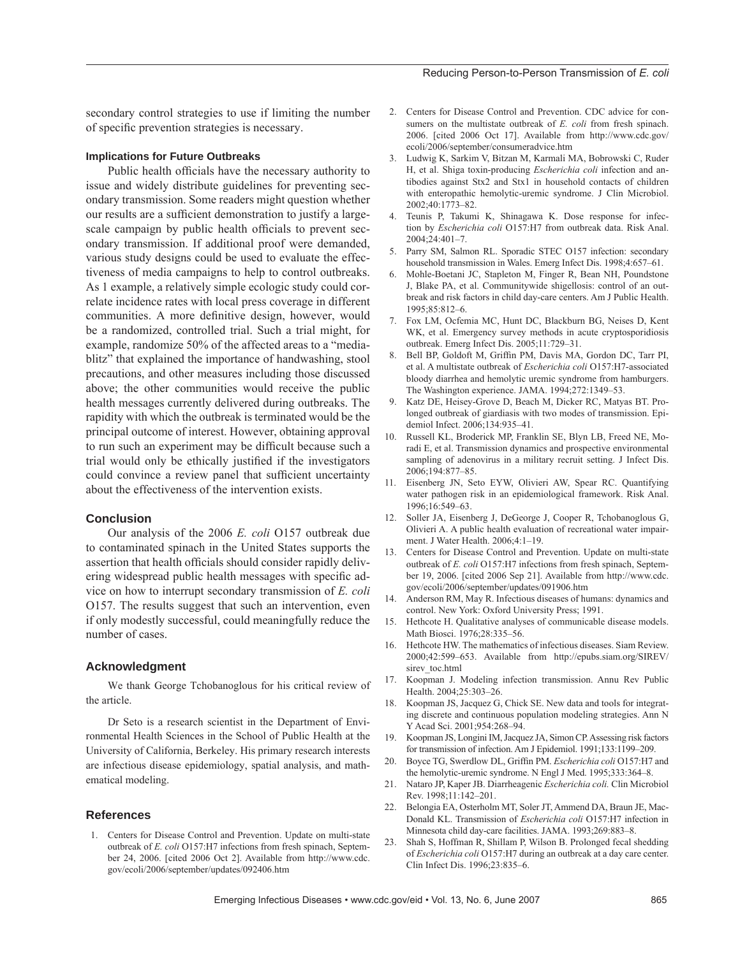secondary control strategies to use if limiting the number of specific prevention strategies is necessary.

## **Implications for Future Outbreaks**

Public health officials have the necessary authority to issue and widely distribute guidelines for preventing secondary transmission. Some readers might question whether our results are a sufficient demonstration to justify a largescale campaign by public health officials to prevent secondary transmission. If additional proof were demanded, various study designs could be used to evaluate the effectiveness of media campaigns to help to control outbreaks. As 1 example, a relatively simple ecologic study could correlate incidence rates with local press coverage in different communities. A more definitive design, however, would be a randomized, controlled trial. Such a trial might, for example, randomize 50% of the affected areas to a "mediablitz" that explained the importance of handwashing, stool precautions, and other measures including those discussed above; the other communities would receive the public health messages currently delivered during outbreaks. The rapidity with which the outbreak is terminated would be the principal outcome of interest. However, obtaining approval to run such an experiment may be difficult because such a trial would only be ethically justified if the investigators could convince a review panel that sufficient uncertainty about the effectiveness of the intervention exists.

#### **Conclusion**

Our analysis of the 2006 *E. coli* O157 outbreak due to contaminated spinach in the United States supports the assertion that health officials should consider rapidly delivering widespread public health messages with specific advice on how to interrupt secondary transmission of *E. coli* O157. The results suggest that such an intervention, even if only modestly successful, could meaningfully reduce the number of cases.

#### **Acknowledgment**

We thank George Tchobanoglous for his critical review of the article.

Dr Seto is a research scientist in the Department of Environmental Health Sciences in the School of Public Health at the University of California, Berkeley. His primary research interests are infectious disease epidemiology, spatial analysis, and mathematical modeling.

## **References**

 1. Centers for Disease Control and Prevention. Update on multi-state outbreak of *E. coli* O157:H7 infections from fresh spinach, September 24, 2006. [cited 2006 Oct 2]. Available from http://www.cdc. gov/ecoli/2006/september/updates/092406.htm

- 2. Centers for Disease Control and Prevention. CDC advice for consumers on the multistate outbreak of *E. coli* from fresh spinach. 2006. [cited 2006 Oct 17]. Available from http://www.cdc.gov/ ecoli/2006/september/consumeradvice.htm
- 3. Ludwig K, Sarkim V, Bitzan M, Karmali MA, Bobrowski C, Ruder H, et al. Shiga toxin-producing *Escherichia coli* infection and antibodies against Stx2 and Stx1 in household contacts of children with enteropathic hemolytic-uremic syndrome. J Clin Microbiol. 2002;40:1773–82.
- 4. Teunis P, Takumi K, Shinagawa K. Dose response for infection by *Escherichia coli* O157:H7 from outbreak data. Risk Anal. 2004;24:401–7.
- 5. Parry SM, Salmon RL. Sporadic STEC O157 infection: secondary household transmission in Wales. Emerg Infect Dis. 1998;4:657–61.
- 6. Mohle-Boetani JC, Stapleton M, Finger R, Bean NH, Poundstone J, Blake PA, et al. Communitywide shigellosis: control of an outbreak and risk factors in child day-care centers. Am J Public Health. 1995;85:812–6.
- 7. Fox LM, Ocfemia MC, Hunt DC, Blackburn BG, Neises D, Kent WK, et al. Emergency survey methods in acute cryptosporidiosis outbreak. Emerg Infect Dis. 2005;11:729–31.
- 8. Bell BP, Goldoft M, Griffin PM, Davis MA, Gordon DC, Tarr PI, et al. A multistate outbreak of *Escherichia coli* O157:H7-associated bloody diarrhea and hemolytic uremic syndrome from hamburgers. The Washington experience. JAMA. 1994;272:1349–53.
- 9. Katz DE, Heisey-Grove D, Beach M, Dicker RC, Matyas BT. Prolonged outbreak of giardiasis with two modes of transmission. Epidemiol Infect. 2006;134:935–41.
- 10. Russell KL, Broderick MP, Franklin SE, Blyn LB, Freed NE, Moradi E, et al. Transmission dynamics and prospective environmental sampling of adenovirus in a military recruit setting. J Infect Dis. 2006;194:877–85.
- 11. Eisenberg JN, Seto EYW, Olivieri AW, Spear RC. Quantifying water pathogen risk in an epidemiological framework. Risk Anal. 1996;16:549–63.
- 12. Soller JA, Eisenberg J, DeGeorge J, Cooper R, Tchobanoglous G, Olivieri A. A public health evaluation of recreational water impairment. J Water Health. 2006;4:1–19.
- 13. Centers for Disease Control and Prevention. Update on multi-state outbreak of *E. coli* O157:H7 infections from fresh spinach, September 19, 2006. [cited 2006 Sep 21]. Available from http://www.cdc. gov/ecoli/2006/september/updates/091906.htm
- 14. Anderson RM, May R. Infectious diseases of humans: dynamics and control. New York: Oxford University Press; 1991.
- 15. Hethcote H. Qualitative analyses of communicable disease models. Math Biosci. 1976;28:335–56.
- 16. Hethcote HW. The mathematics of infectious diseases. Siam Review. 2000;42:599–653. Available from http://epubs.siam.org/SIREV/ sirev\_toc.html
- 17. Koopman J. Modeling infection transmission. Annu Rev Public Health. 2004;25:303–26.
- 18. Koopman JS, Jacquez G, Chick SE. New data and tools for integrating discrete and continuous population modeling strategies. Ann N Y Acad Sci. 2001;954:268–94.
- 19. Koopman JS, Longini IM, Jacquez JA, Simon CP. Assessing risk factors for transmission of infection. Am J Epidemiol. 1991;133:1199–209.
- 20. Boyce TG, Swerdlow DL, Griffin PM. *Escherichia coli* O157:H7 and the hemolytic-uremic syndrome. N Engl J Med. 1995;333:364–8.
- 21. Nataro JP, Kaper JB. Diarrheagenic *Escherichia coli.* Clin Microbiol Rev. 1998;11:142–201.
- 22. Belongia EA, Osterholm MT, Soler JT, Ammend DA, Braun JE, Mac-Donald KL. Transmission of *Escherichia coli* O157:H7 infection in Minnesota child day-care facilities. JAMA. 1993;269:883–8.
- 23. Shah S, Hoffman R, Shillam P, Wilson B. Prolonged fecal shedding of *Escherichia coli* O157:H7 during an outbreak at a day care center. Clin Infect Dis. 1996;23:835–6.